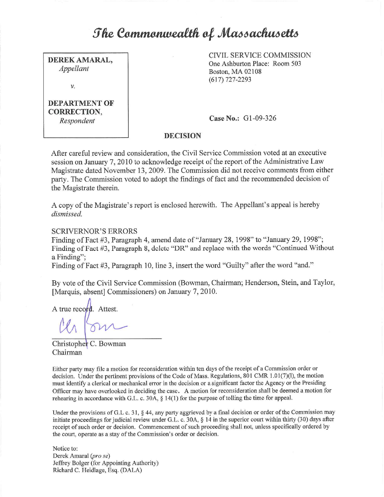# *<u><i>She Commonwealth of Massachusetts*</u>

**DEREK AMARAL,**  *Appellant* 

V.

## **DEPARTMENT OF CORRECTION,**  *Respondent*

CIVIL SERVICE COMMISSION One Ashburton Place: Room 503 Boston, MA 02108 (617) 727-2293

**Case No.:** Gl-09-326

# **DECISION**

After careful review and consideration, the Civil Service Commission voted at an executive session on January 7, 2010 to acknowledge receipt of the report of the Administrative Law Magistrate dated November 13, 2009. The Commission did not receive comments from either party. The Commission voted to adopt the findings of fact and the recommended decision of the Magistrate therein.

A copy of the Magistrate's report is enclosed herewith. The Appellant's appeal is hereby *dismissed.* 

## SCRIVERNOR'S ERRORS

Finding of Fact #3, Paragraph 4, amend date of "January 28, 1998" to "January 29, 1998"; Finding of Fact #3, Paragraph 8, delete "DR" and replace with the words "Continued Without a Finding";

Finding of Fact #3, Paragraph 10, line 3, insert the word "Guilty" after the word "and."

By vote of the Civil Service Commission (Bowman, Chairman; Henderson, Stein, and Taylor, [Marquis, absent] Commissioners) on January 7, 2010.

A true record. Attest.

Christopher C. Bowman Chairman

Either party may file a motion for reconsideration within ten days of the receipt of a Commission order or decision. Under the pertinent provisions of the Code of Mass. Regulations, 801 CMR 1.01(7)(1), the motion must identify a clerical or mechanical error in the decision or a significant factor the Agency or the Presiding Officer may have overlooked in deciding the case. A motion for reconsideration shall be deemed a motion for rehearing in accordance with G.L. c. 30A, § 14(1) for the purpose of tolling the time for appeal.

Under the provisions of G.L c. 31, § 44, any party aggrieved by a final decision or order of the Commission may initiate proceedings for judicial review under G.L. c. 30A, § **14** in the superior court within thirty (30) days after receipt of such order or decision. Commencement of such proceeding shall not, unless specifically ordered by the court, operate as a stay of the Commission's order or decision.

Notice to: Derek Amaral (pro se) Jeffrey Bolger (for Appointing Authority) Richard C. Heidlage, Esq. (DALA)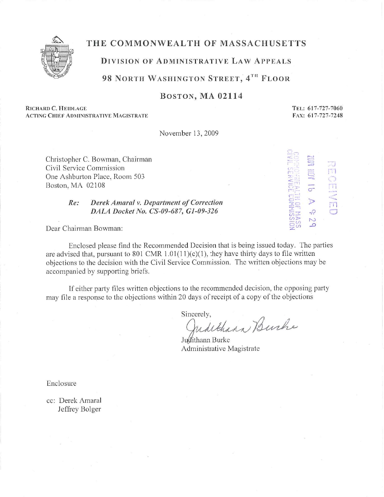

# THE COMMONWEALTH OF MASSACHUSETTS

# **DIVISION OF ADMINISTRATIVE LAW APPEALS**

# **98 NORTH WASHINGTON STREET, 4TH FLOOR**

# BOSTON, **MA 02114**

**RICHARD C. llElDLAGE ACTING CHIEF ADMINISTRATIVE MAGISTRATE**  **TEL: 617-727-7060 FAX: 61 7-727-7248** 

 $\mathfrak{g}$  ... .

 $\circ$ **N**   $\circ$ 

**-c.:::** *,)* 

**v**  $\frac{1}{2}$ 

~-i•  $\leq$   $\Rightarrow$   $\approx$ *C:* ·.-:, \_..,

::;; <~: :  $Z$  rii-1 *c·~1*  r., **r:.\_!**  C<sub>2</sub>-<sup>1</sup> models 3.:0 **:r-1 CJ's Thurs** *-<.n*   $\sim$ 

November 13, 2009

Christopher C. Bowman, Chairman Civil Service Commission One Ashburton Place, Room 503 Boston, MA 02108

## *Re: Derek Amaral v. Department of Correction DALA Docket No. CS-09-687, GJ-09-326*

Dear Chairman Bowman:

Enclosed please find the Recommended Decision that is being issued today. The parties are advised that, pursuant to 801 CMR  $1.01(11)(c)(1)$ , they have thirty days to file written objections to the decision with the Civil Service Commission. The written objections may be accompanied by supporting briefs.

If either party files written objections to the recommended decision, the opposing party may file a response to the objections within 20 days of receipt of a copy of the objections

Sincerely,<br>Judithann Burche

Judithann Burke Administrative Magistrate

Enclosure

cc: Derek Amaral Jeffrey Bolger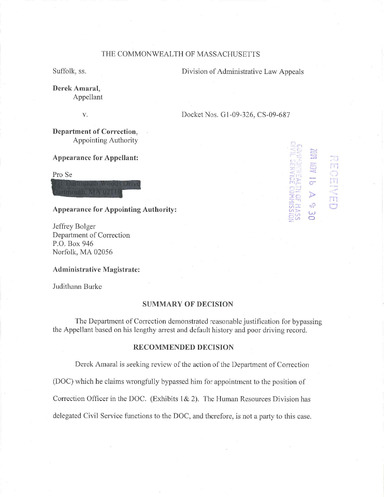### THE COMMONWEALTH OF MASSACHUSETTS

Suffolk, ss. Division of Administrative Law Appeals

**Derek Amaral,**  Appellant

v. Docket Nos. G1-09-326, CS-09-687

*(* . ,.,  $\ll$ r-~  $\frac{1}{20}$  in  $\frac{1}{20}$ ,,... -, **1**  C; in the **C.A., L. Guarant** *(")* j **L.J .-1:- :J: C, :r** -·,-,  $\overline{\mathbb{C}}$ **Ul::!:>-** *?2~* 

....., ,-, **Contract of the Second Street . i:.:t**  C...l  $+1$ **o-**

. **J** 

' I - *,)*  . ' **j** 

*#'*  .... rn 0

J> **-:0 w 0** 

**Department of Correction,**  Appointing Authority

### **Appearance for Appellant:**

Pro Se

#### **Appearance for Appointing Authority:**

Jeffrey Bolger Department of Correction P.O. Box 946 Norfolk, MA 02056

#### **Administrative Magistrate:**

Judithann Burke

#### **SUMMARY OF DECISION**

The Department of Correction demonstrated reasonable justification for bypassing the Appellant based on his lengthy arrest and default history and poor driving record.

#### **RECOMMENDED DECISION**

Derek Amaral is seeking review of the action of the Department of Correction

(DOC) which he claims wrongfully bypassed him for appointment to the position of

Correction Officer in the DOC. (Exhibits l& 2). The Human Resources Division has

delegated Civil Service functions to the DOC, and therefore, is not a party to this case.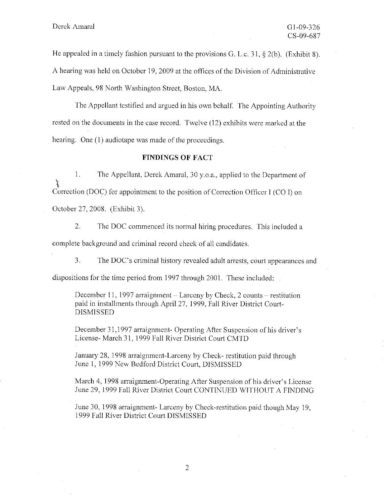He appealed in a timely fashion pursuant to the provisions G. L.c. 31,  $\S$  2(b). (Exhibit 8). A hearing was held on October 19, 2009 at the offices of the Division of Administrative Law Appeals, 98 North Washington Street, Boston, MA.

The Appellant testified and argued in his own behalf. The Appointing Authority rested on the documents in the case record. Twelve (12) exhibits were marked at the hearing. One (1) audiotape was made of the proceedings.

#### **FINDINGS OF FACT**

1. The Appellant, Derek Amaral, 30 y.o.a., applied to the Department of Correction (DOC) for appointment to the position of Correction Officer I (CO I) on October 27, 2008. (Exhibit 3).

2. The DOC commenced its normal hiring procedures. This included a complete background and criminal record check of all candidates.

3. The DOC's criminal history revealed adult arrests, court appearances and dispositions for the time period from 1997 through 2001. These included:

December 11, 1997 arraignment  $-$  Larceny by Check, 2 counts  $-$  restitution paid in installments through April 27, 1999, Fall River District Court-DISMISSED

December 31,1997 arraignment- Operating After Suspension of his driver's License- March 31, 1999 Fall River District Court CMTD

.January 28, 1998 arraignment-Larceny by Check- restitution paid through June 1, 1999 New Bedford District Court, DISMISSED

March 4, 1998 arraignment-Operating After Suspension of his driver's License June 29, 1999 Fall River District Court CONTINUED WITHOUT A FINDING

June 30, 1998 arraignment- Larceny by Check-restitution paid though May 19, 1999 Fall River District Court DISMISSED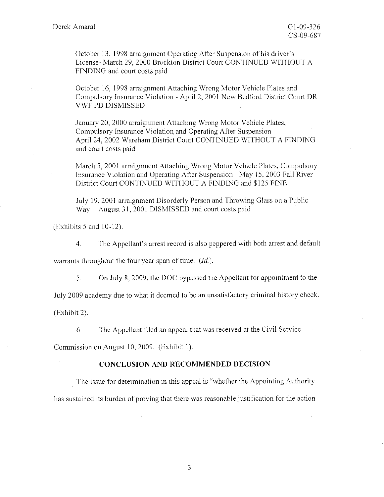October 13, 1998 arraignment Operating After Suspension of his driver's License- March 29, 2000 Brockton District Court CONTINUED WITHOUT A FINDING and court costs paid

October 16, 1998 arraignment Attaching Wrong Motor Vehicle Plates and Compulsory Insurance Violation - April 2, 200 I New Bedford District Court DR VWF PD DISMISSED

January 20, 2000 arraignment Attaching Wrong Motor Vehicle Plates, Compulsory Insurance Violation and Operating Arter Suspension April 24, 2002 Wareham District Court CONTINUED WJTHOUT A FINDING and court costs paid

March 5, 2001 arraignment Attaching Wrong Motor Vehicle Plates, Compulsory Insurance Violation and Operating After Suspension - May 15, 2003 Fall River District Court CONTINUED WITHOUT A FINDING and \$125 FINE

July 19, 2001 arraignment Disorderly Person and Throwing Glass on a Public Way - August 31, 2001 DISMISSED and court costs paid

 $(Exhibits 5 and 10-12).$ 

4. The Appellant's arrest record is also peppered with both arrest and default

warrants throughout the four year span of time.  $(Id.)$ .

5. On July 8, 2009, the DOC bypassed the Appellant for appointment lo the

July 2009 academy due to what it deemed to be an unsatisfactory criminal history check.

(Exhibit 2).

6. The Appellant filed an appeal that was received at the Civil Service

Commission on August 10, 2009. (Exhibit 1).

#### **CONCLUSION AND RECOMMENDED DECISION**

The issue for determination in this appeal is "whether the Appointing Authority has sustained its burden of proving that there was reasonable justification for the action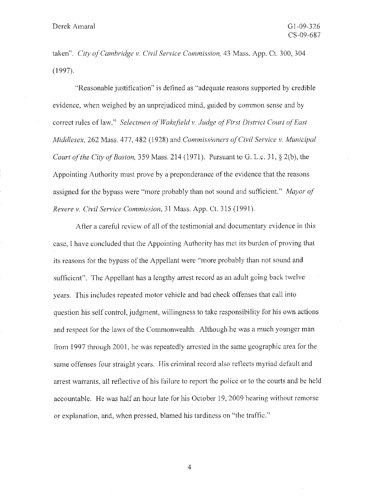taken". *City of Cambridge v. Civil Service Commission*, 43 Mass. App. Ct. 300, 304 (1997).

"Reasonable justification" is defined as "adequate reasons supported by credible evidence, when weighed by an unprejudiced mind, guided by common sense and by correct rules of law." *Selectmen of Wakefield v. Judge a/First District Court o/East Middlesex,* 262 Mass. 477,482 (1928) and *Commissioners of Civil Service v. Municipal Court of the City of Boston,* 359 Mass, 214 (1971). Pursuant to G. L.c. 31, § 2(b), the Appointing Authority must prove by a preponderance of the evidence that the reasons assigned for the bypass were "more probably than not sound and sufficient." *Mayor of Revere v. Civil Service Commission,* 31 Mass. App. Ct. 315 (1991).

After a careful review of all of the testimonial and documentary evidence in this case, I have concluded that the Appointing Authority has met its burden of proving that its reasons for the bypass of the Appellant were "more probably than not sound and sufficient". The Appellant has a lengthy arrest record as an adult going back twelve years. This includes repeated motor vehicle and bad check offenses that call into question his self control, judgment, willingness to take responsibility for his own actions and respect for the laws of the Commonwealth. Although he was a much younger man from 1997 through 2001, he was repeatedly arrested in the same geographic area for the same offenses four straight years. His criminal record also reflects myriad default and arrest warrants, all reflective of his failure to report the police or to the courts and be held accountable. He was half an hour late for his October 19, 2009 hearing without remorse or explanation, and, when pressed, blamed his tardiness on "the traffic."

4